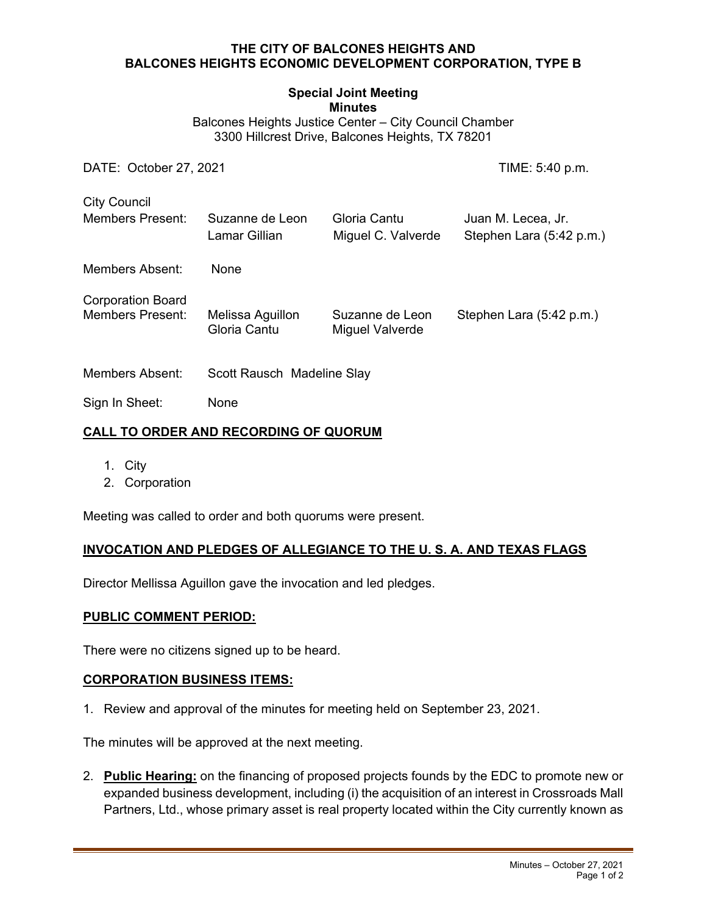#### **THE CITY OF BALCONES HEIGHTS AND BALCONES HEIGHTS ECONOMIC DEVELOPMENT CORPORATION, TYPE B**

# **Special Joint Meeting**

**Minutes** 

Balcones Heights Justice Center – City Council Chamber 3300 Hillcrest Drive, Balcones Heights, TX 78201

DATE: October 27, 2021 TIME: 5:40 p.m.

City Council Members Present: Suzanne de Leon Gloria Cantu Juan M. Lecea, Jr. Lamar Gillian Miguel C. Valverde Stephen Lara (5:42 p.m.) Members Absent: None Corporation Board Members Present: Melissa Aguillon Suzanne de Leon Stephen Lara (5:42 p.m.) Gloria Cantu Miguel Valverde Members Absent: Scott Rausch Madeline Slay

Sign In Sheet: None

## **CALL TO ORDER AND RECORDING OF QUORUM**

- 1. City
- 2. Corporation

Meeting was called to order and both quorums were present.

## **INVOCATION AND PLEDGES OF ALLEGIANCE TO THE U. S. A. AND TEXAS FLAGS**

Director Mellissa Aguillon gave the invocation and led pledges.

#### **PUBLIC COMMENT PERIOD:**

There were no citizens signed up to be heard.

#### **CORPORATION BUSINESS ITEMS:**

1. Review and approval of the minutes for meeting held on September 23, 2021.

The minutes will be approved at the next meeting.

2. **Public Hearing:** on the financing of proposed projects founds by the EDC to promote new or expanded business development, including (i) the acquisition of an interest in Crossroads Mall Partners, Ltd., whose primary asset is real property located within the City currently known as